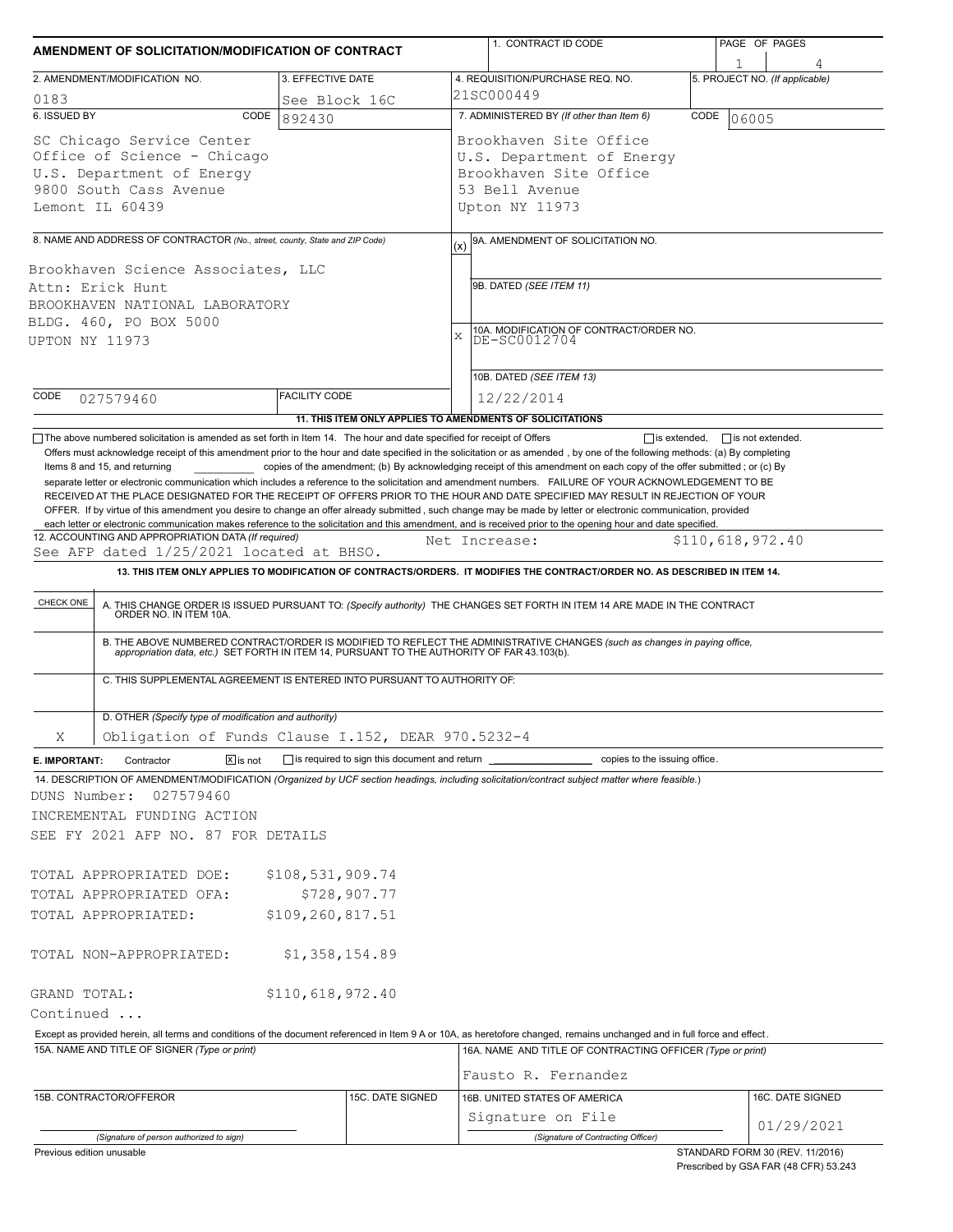| AMENDMENT OF SOLICITATION/MODIFICATION OF CONTRACT                                                                                                                                                                                                                                                                                                                                                                                              |                                                      |                                              | 1. CONTRACT ID CODE                                                                                                                                                                                                                                                                                                                                                                                                                                                                                                       | PAGE OF PAGES                   |  |  |  |  |  |
|-------------------------------------------------------------------------------------------------------------------------------------------------------------------------------------------------------------------------------------------------------------------------------------------------------------------------------------------------------------------------------------------------------------------------------------------------|------------------------------------------------------|----------------------------------------------|---------------------------------------------------------------------------------------------------------------------------------------------------------------------------------------------------------------------------------------------------------------------------------------------------------------------------------------------------------------------------------------------------------------------------------------------------------------------------------------------------------------------------|---------------------------------|--|--|--|--|--|
| 2. AMENDMENT/MODIFICATION NO.                                                                                                                                                                                                                                                                                                                                                                                                                   | 3. EFFECTIVE DATE                                    |                                              | 4. REQUISITION/PURCHASE REQ. NO.                                                                                                                                                                                                                                                                                                                                                                                                                                                                                          | 5. PROJECT NO. (If applicable)  |  |  |  |  |  |
| 0183                                                                                                                                                                                                                                                                                                                                                                                                                                            | See Block 16C                                        |                                              | 21SC000449                                                                                                                                                                                                                                                                                                                                                                                                                                                                                                                |                                 |  |  |  |  |  |
| 6. ISSUED BY<br>CODE                                                                                                                                                                                                                                                                                                                                                                                                                            | 892430                                               |                                              | 7. ADMINISTERED BY (If other than Item 6)                                                                                                                                                                                                                                                                                                                                                                                                                                                                                 | CODE<br>06005                   |  |  |  |  |  |
| SC Chicago Service Center<br>Office of Science - Chicago<br>U.S. Department of Energy<br>9800 South Cass Avenue<br>Lemont IL 60439                                                                                                                                                                                                                                                                                                              |                                                      |                                              | Brookhaven Site Office<br>U.S. Department of Energy<br>Brookhaven Site Office<br>53 Bell Avenue<br>Upton NY 11973                                                                                                                                                                                                                                                                                                                                                                                                         |                                 |  |  |  |  |  |
| 8. NAME AND ADDRESS OF CONTRACTOR (No., street, county, State and ZIP Code)                                                                                                                                                                                                                                                                                                                                                                     |                                                      |                                              | 9A. AMENDMENT OF SOLICITATION NO.                                                                                                                                                                                                                                                                                                                                                                                                                                                                                         |                                 |  |  |  |  |  |
| Brookhaven Science Associates, LLC<br>Attn: Erick Hunt<br>BROOKHAVEN NATIONAL LABORATORY<br>BLDG. 460, PO BOX 5000<br>UPTON NY 11973                                                                                                                                                                                                                                                                                                            |                                                      | (x)<br>$\mathbf x$                           | 9B. DATED (SEE ITEM 11)<br>10A. MODIFICATION OF CONTRACT/ORDER NO.<br>DE-SC0012704                                                                                                                                                                                                                                                                                                                                                                                                                                        |                                 |  |  |  |  |  |
|                                                                                                                                                                                                                                                                                                                                                                                                                                                 |                                                      |                                              | 10B. DATED (SEE ITEM 13)                                                                                                                                                                                                                                                                                                                                                                                                                                                                                                  |                                 |  |  |  |  |  |
| CODE<br>027579460                                                                                                                                                                                                                                                                                                                                                                                                                               | <b>FACILITY CODE</b>                                 |                                              | 12/22/2014                                                                                                                                                                                                                                                                                                                                                                                                                                                                                                                |                                 |  |  |  |  |  |
|                                                                                                                                                                                                                                                                                                                                                                                                                                                 |                                                      |                                              | 11. THIS ITEM ONLY APPLIES TO AMENDMENTS OF SOLICITATIONS                                                                                                                                                                                                                                                                                                                                                                                                                                                                 |                                 |  |  |  |  |  |
| OFFER. If by virtue of this amendment you desire to change an offer already submitted, such change may be made by letter or electronic communication, provided<br>each letter or electronic communication makes reference to the solicitation and this amendment, and is received prior to the opening hour and date specified.<br>12. ACCOUNTING AND APPROPRIATION DATA (If required)<br>See AFP dated 1/25/2021 located at BHSO.<br>CHECK ONE |                                                      |                                              | Net Increase:<br>13. THIS ITEM ONLY APPLIES TO MODIFICATION OF CONTRACTS/ORDERS. IT MODIFIES THE CONTRACT/ORDER NO. AS DESCRIBED IN ITEM 14.<br>A. THIS CHANGE ORDER IS ISSUED PURSUANT TO: (Specify authority) THE CHANGES SET FORTH IN ITEM 14 ARE MADE IN THE CONTRACT ORDER NO. IN ITEM 10A.<br>B. THE ABOVE NUMBERED CONTRACT/ORDER IS MODIFIED TO REFLECT THE ADMINISTRATIVE CHANGES (such as changes in paying office, appropriation data, etc.) SET FORTH IN ITEM 14, PURSUANT TO THE AUTHORITY OF FAR 43.103(b). | \$110,618,972.40                |  |  |  |  |  |
| C. THIS SUPPLEMENTAL AGREEMENT IS ENTERED INTO PURSUANT TO AUTHORITY OF:                                                                                                                                                                                                                                                                                                                                                                        |                                                      |                                              |                                                                                                                                                                                                                                                                                                                                                                                                                                                                                                                           |                                 |  |  |  |  |  |
| D. OTHER (Specify type of modification and authority)                                                                                                                                                                                                                                                                                                                                                                                           |                                                      |                                              |                                                                                                                                                                                                                                                                                                                                                                                                                                                                                                                           |                                 |  |  |  |  |  |
| Obligation of Funds Clause I.152, DEAR 970.5232-4<br>Χ                                                                                                                                                                                                                                                                                                                                                                                          |                                                      |                                              |                                                                                                                                                                                                                                                                                                                                                                                                                                                                                                                           |                                 |  |  |  |  |  |
| $\sqrt{X}$ is not<br>Contractor<br>E. IMPORTANT:<br>14. DESCRIPTION OF AMENDMENT/MODIFICATION (Organized by UCF section headings, including solicitation/contract subject matter where feasible.)<br>DUNS Number:<br>027579460<br>INCREMENTAL FUNDING ACTION<br>SEE FY 2021 AFP NO. 87 FOR DETAILS                                                                                                                                              |                                                      | is required to sign this document and return | copies to the issuing office.                                                                                                                                                                                                                                                                                                                                                                                                                                                                                             |                                 |  |  |  |  |  |
| TOTAL APPROPRIATED DOE:<br>TOTAL APPROPRIATED OFA:<br>TOTAL APPROPRIATED:                                                                                                                                                                                                                                                                                                                                                                       | \$108,531,909.74<br>\$728,907.77<br>\$109,260,817.51 |                                              |                                                                                                                                                                                                                                                                                                                                                                                                                                                                                                                           |                                 |  |  |  |  |  |
| TOTAL NON-APPROPRIATED:                                                                                                                                                                                                                                                                                                                                                                                                                         | \$1,358,154.89                                       |                                              |                                                                                                                                                                                                                                                                                                                                                                                                                                                                                                                           |                                 |  |  |  |  |  |
| GRAND TOTAL:                                                                                                                                                                                                                                                                                                                                                                                                                                    | \$110,618,972.40                                     |                                              |                                                                                                                                                                                                                                                                                                                                                                                                                                                                                                                           |                                 |  |  |  |  |  |
| Continued                                                                                                                                                                                                                                                                                                                                                                                                                                       |                                                      |                                              |                                                                                                                                                                                                                                                                                                                                                                                                                                                                                                                           |                                 |  |  |  |  |  |
| Except as provided herein, all terms and conditions of the document referenced in Item 9 A or 10A, as heretofore changed, remains unchanged and in full force and effect.<br>15A. NAME AND TITLE OF SIGNER (Type or print)                                                                                                                                                                                                                      |                                                      |                                              | 16A. NAME AND TITLE OF CONTRACTING OFFICER (Type or print)                                                                                                                                                                                                                                                                                                                                                                                                                                                                |                                 |  |  |  |  |  |
| 15B. CONTRACTOR/OFFEROR                                                                                                                                                                                                                                                                                                                                                                                                                         |                                                      | 15C. DATE SIGNED                             | Fausto R. Fernandez<br>16B. UNITED STATES OF AMERICA                                                                                                                                                                                                                                                                                                                                                                                                                                                                      | 16C. DATE SIGNED                |  |  |  |  |  |
| (Signature of person authorized to sign)                                                                                                                                                                                                                                                                                                                                                                                                        |                                                      |                                              | Signature on File<br>(Signature of Contracting Officer)                                                                                                                                                                                                                                                                                                                                                                                                                                                                   | 01/29/2021                      |  |  |  |  |  |
| Previous edition unusable                                                                                                                                                                                                                                                                                                                                                                                                                       |                                                      |                                              |                                                                                                                                                                                                                                                                                                                                                                                                                                                                                                                           | STANDARD FORM 30 (REV. 11/2016) |  |  |  |  |  |

Prescribed by GSA FAR (48 CFR) 53.243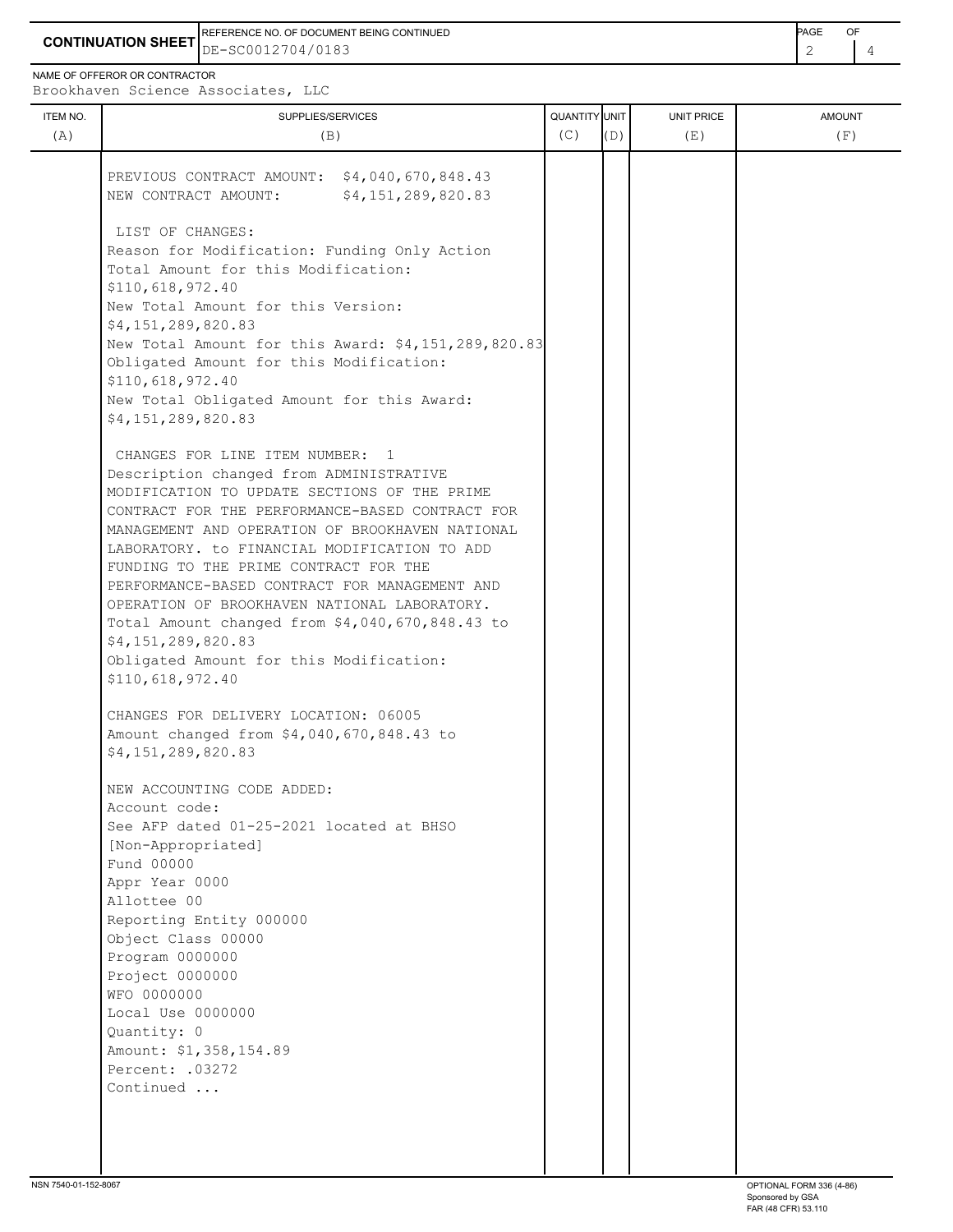**CONTINUATION SHEET** DE-SC0012704/0183 REFERENCE NO. OF DOCUMENT BEING CONTINUED **Example 2008** PAGE OF

NAME OF OFFEROR OR CONTRACTOR

Brookhaven Science Associates, LLC

| ITEM NO.<br>(A) | SUPPLIES/SERVICES<br>(B)                                                                        | QUANTITY UNIT<br>(C) | (D) | UNIT PRICE<br>(E) | <b>AMOUNT</b><br>(F) |
|-----------------|-------------------------------------------------------------------------------------------------|----------------------|-----|-------------------|----------------------|
|                 | PREVIOUS CONTRACT AMOUNT: \$4,040,670,848.43                                                    |                      |     |                   |                      |
|                 | \$4,151,289,820.83<br>NEW CONTRACT AMOUNT:                                                      |                      |     |                   |                      |
|                 | LIST OF CHANGES:                                                                                |                      |     |                   |                      |
|                 | Reason for Modification: Funding Only Action                                                    |                      |     |                   |                      |
|                 | Total Amount for this Modification:<br>\$110,618,972.40                                         |                      |     |                   |                      |
|                 | New Total Amount for this Version:                                                              |                      |     |                   |                      |
|                 | \$4,151,289,820.83                                                                              |                      |     |                   |                      |
|                 | New Total Amount for this Award: \$4,151,289,820.83<br>Obligated Amount for this Modification:  |                      |     |                   |                      |
|                 | \$110,618,972.40                                                                                |                      |     |                   |                      |
|                 | New Total Obligated Amount for this Award:                                                      |                      |     |                   |                      |
|                 | \$4,151,289,820.83                                                                              |                      |     |                   |                      |
|                 | CHANGES FOR LINE ITEM NUMBER: 1                                                                 |                      |     |                   |                      |
|                 | Description changed from ADMINISTRATIVE                                                         |                      |     |                   |                      |
|                 | MODIFICATION TO UPDATE SECTIONS OF THE PRIME<br>CONTRACT FOR THE PERFORMANCE-BASED CONTRACT FOR |                      |     |                   |                      |
|                 | MANAGEMENT AND OPERATION OF BROOKHAVEN NATIONAL                                                 |                      |     |                   |                      |
|                 | LABORATORY. to FINANCIAL MODIFICATION TO ADD                                                    |                      |     |                   |                      |
|                 | FUNDING TO THE PRIME CONTRACT FOR THE                                                           |                      |     |                   |                      |
|                 | PERFORMANCE-BASED CONTRACT FOR MANAGEMENT AND<br>OPERATION OF BROOKHAVEN NATIONAL LABORATORY.   |                      |     |                   |                      |
|                 | Total Amount changed from \$4,040,670,848.43 to                                                 |                      |     |                   |                      |
|                 | \$4,151,289,820.83                                                                              |                      |     |                   |                      |
|                 | Obligated Amount for this Modification:                                                         |                      |     |                   |                      |
|                 | \$110,618,972.40                                                                                |                      |     |                   |                      |
|                 | CHANGES FOR DELIVERY LOCATION: 06005                                                            |                      |     |                   |                      |
|                 | Amount changed from \$4,040,670,848.43 to                                                       |                      |     |                   |                      |
|                 | \$4,151,289,820.83                                                                              |                      |     |                   |                      |
|                 | NEW ACCOUNTING CODE ADDED:                                                                      |                      |     |                   |                      |
|                 | Account code:<br>See AFP dated 01-25-2021 located at BHSO                                       |                      |     |                   |                      |
|                 | [Non-Appropriated]                                                                              |                      |     |                   |                      |
|                 | Fund 00000                                                                                      |                      |     |                   |                      |
|                 | Appr Year 0000                                                                                  |                      |     |                   |                      |
|                 | Allottee 00                                                                                     |                      |     |                   |                      |
|                 | Reporting Entity 000000<br>Object Class 00000                                                   |                      |     |                   |                      |
|                 | Program 0000000                                                                                 |                      |     |                   |                      |
|                 | Project 0000000                                                                                 |                      |     |                   |                      |
|                 | WFO 0000000                                                                                     |                      |     |                   |                      |
|                 | Local Use 0000000                                                                               |                      |     |                   |                      |
|                 | Quantity: 0<br>Amount: \$1,358,154.89                                                           |                      |     |                   |                      |
|                 | Percent: .03272                                                                                 |                      |     |                   |                      |
|                 | Continued                                                                                       |                      |     |                   |                      |
|                 |                                                                                                 |                      |     |                   |                      |
|                 |                                                                                                 |                      |     |                   |                      |
|                 |                                                                                                 |                      |     |                   |                      |
|                 |                                                                                                 |                      |     |                   |                      |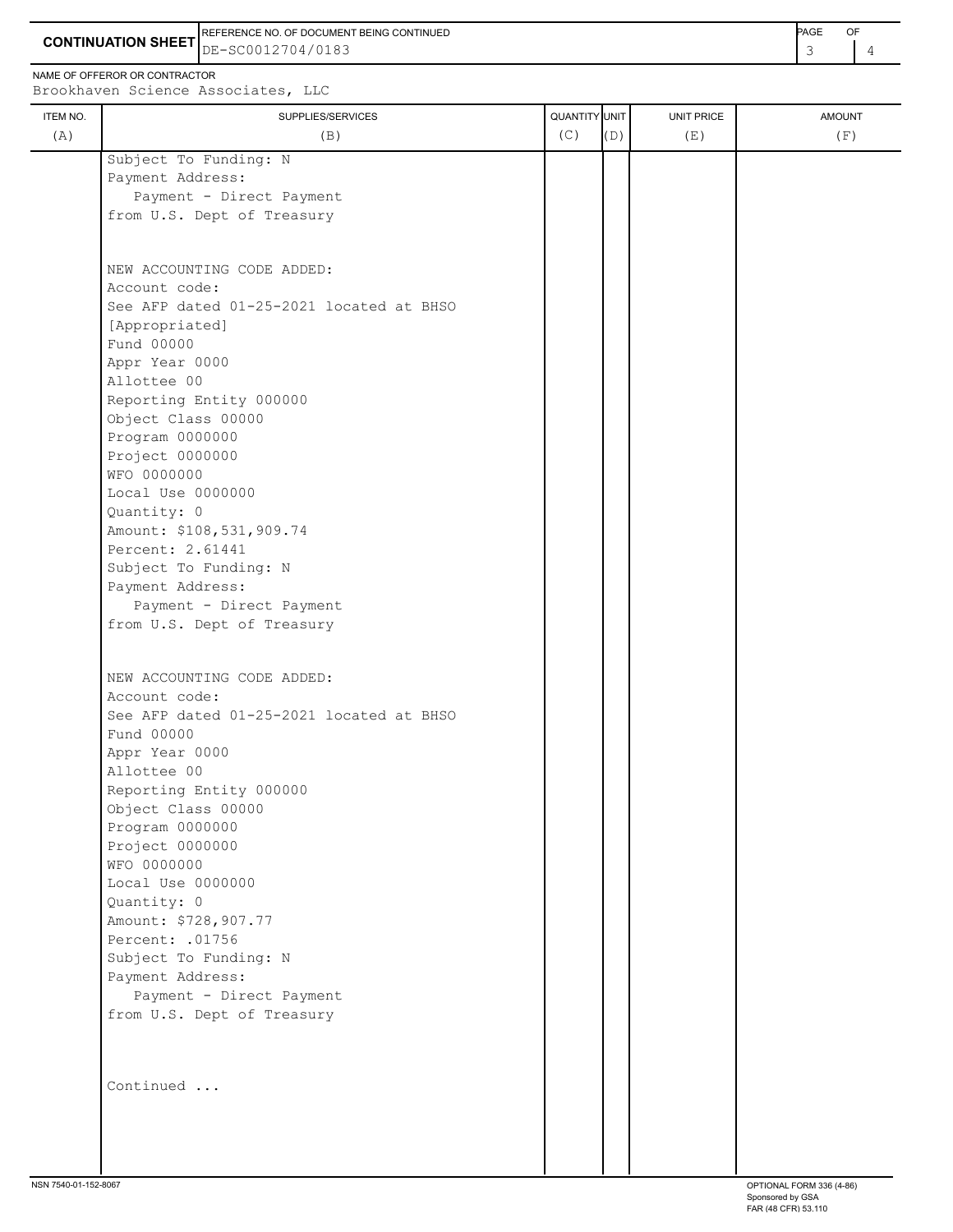**CONTINUATION SHEET** DE-SC0012704/0183 REFERENCE NO. OF DOCUMENT BEING CONTINUED **Example 2008** PAGE OF

NAME OF OFFEROR OR CONTRACTOR

Brookhaven Science Associates, LLC

| ITEM NO. | SUPPLIES/SERVICES                        | QUANTITY UNIT |     | <b>UNIT PRICE</b> | <b>AMOUNT</b> |
|----------|------------------------------------------|---------------|-----|-------------------|---------------|
| (A)      | (B)                                      | (C)           | (D) | (E)               | (F)           |
|          | Subject To Funding: N                    |               |     |                   |               |
|          | Payment Address:                         |               |     |                   |               |
|          | Payment - Direct Payment                 |               |     |                   |               |
|          | from U.S. Dept of Treasury               |               |     |                   |               |
|          |                                          |               |     |                   |               |
|          | NEW ACCOUNTING CODE ADDED:               |               |     |                   |               |
|          | Account code:                            |               |     |                   |               |
|          | See AFP dated 01-25-2021 located at BHSO |               |     |                   |               |
|          | [Appropriated]                           |               |     |                   |               |
|          | Fund 00000                               |               |     |                   |               |
|          | Appr Year 0000                           |               |     |                   |               |
|          | Allottee 00                              |               |     |                   |               |
|          | Reporting Entity 000000                  |               |     |                   |               |
|          | Object Class 00000                       |               |     |                   |               |
|          | Program 0000000                          |               |     |                   |               |
|          | Project 0000000                          |               |     |                   |               |
|          | WFO 0000000                              |               |     |                   |               |
|          | Local Use 0000000<br>Quantity: 0         |               |     |                   |               |
|          | Amount: \$108,531,909.74                 |               |     |                   |               |
|          | Percent: 2.61441                         |               |     |                   |               |
|          | Subject To Funding: N                    |               |     |                   |               |
|          | Payment Address:                         |               |     |                   |               |
|          | Payment - Direct Payment                 |               |     |                   |               |
|          | from U.S. Dept of Treasury               |               |     |                   |               |
|          |                                          |               |     |                   |               |
|          | NEW ACCOUNTING CODE ADDED:               |               |     |                   |               |
|          | Account code:                            |               |     |                   |               |
|          | See AFP dated 01-25-2021 located at BHSO |               |     |                   |               |
|          | Fund 00000                               |               |     |                   |               |
|          | Appr Year 0000                           |               |     |                   |               |
|          | Allottee 00                              |               |     |                   |               |
|          | Reporting Entity 000000                  |               |     |                   |               |
|          | Object Class 00000                       |               |     |                   |               |
|          | Program 0000000                          |               |     |                   |               |
|          | Project 0000000<br>WFO 0000000           |               |     |                   |               |
|          | Local Use 0000000                        |               |     |                   |               |
|          | Quantity: 0                              |               |     |                   |               |
|          | Amount: \$728,907.77                     |               |     |                   |               |
|          | Percent: .01756                          |               |     |                   |               |
|          | Subject To Funding: N                    |               |     |                   |               |
|          | Payment Address:                         |               |     |                   |               |
|          | Payment - Direct Payment                 |               |     |                   |               |
|          | from U.S. Dept of Treasury               |               |     |                   |               |
|          |                                          |               |     |                   |               |
|          |                                          |               |     |                   |               |
|          | Continued                                |               |     |                   |               |
|          |                                          |               |     |                   |               |
|          |                                          |               |     |                   |               |
|          |                                          |               |     |                   |               |
|          |                                          |               |     |                   |               |